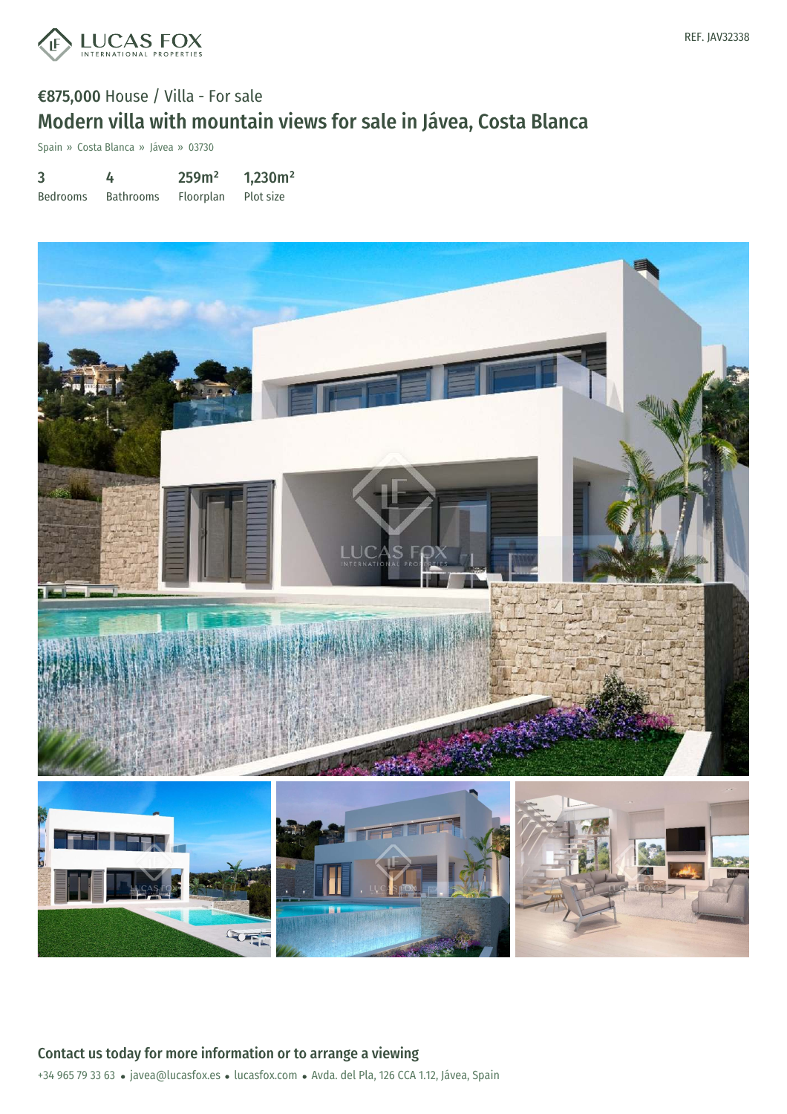

## €875,000 House / Villa - For sale Modern villa with mountain views for sale in Jávea, Costa Blanca

Spain » Costa Blanca » Jávea » 03730

| 3               | 4                | 259m <sup>2</sup> | 1,230m <sup>2</sup> |
|-----------------|------------------|-------------------|---------------------|
| <b>Bedrooms</b> | <b>Bathrooms</b> | Floorplan         | Plot size           |



+34 965 79 33 63 · javea@lucasfox.es · lucasfox.com · Avda. del Pla, 126 CCA 1.12, Jávea, Spain Contact us today for more information or to arrange a viewing